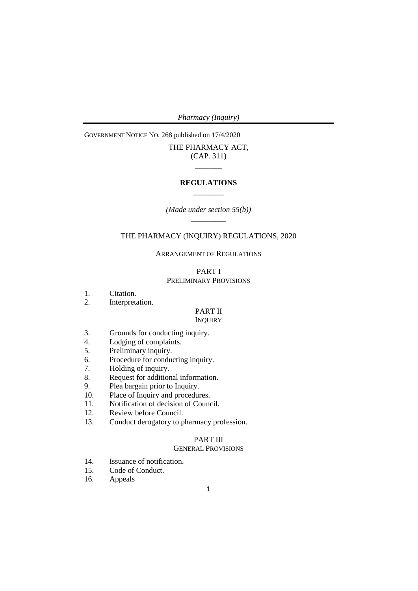GOVERNMENT NOTICE NO. 268 published on 17/4/2020

# THE PHARMACY ACT, (CAP. 311)  $\overline{\phantom{a}}$

## **REGULATIONS**  $\frac{1}{2}$  and  $\frac{1}{2}$  and  $\frac{1}{2}$

*(Made under section 55(b))*  $\overline{\phantom{a}}$ 

# THE PHARMACY (INQUIRY) REGULATIONS, 2020

ARRANGEMENT OF REGULATIONS

## PART I PRELIMINARY PROVISIONS

- 1. Citation.
- 2. Interpretation.

# PART II

## **INQUIRY**

- 3. Grounds for conducting inquiry.<br>4. Lodging of complaints.
- 4. Lodging of complaints.<br>5. Preliminary inquiry.
- Preliminary inquiry.
- 6. Procedure for conducting inquiry.
- 7. Holding of inquiry.
- 8. Request for additional information.
- 9. Plea bargain prior to Inquiry.<br>10. Place of Inquiry and procedure
- Place of Inquiry and procedures.
- 11. Notification of decision of Council.
- 12. Review before Council.
- 13. Conduct derogatory to pharmacy profession.

# PART III

# GENERAL PROVISIONS

- 14. Issuance of notification.
- 15. Code of Conduct.
- 16. Appeals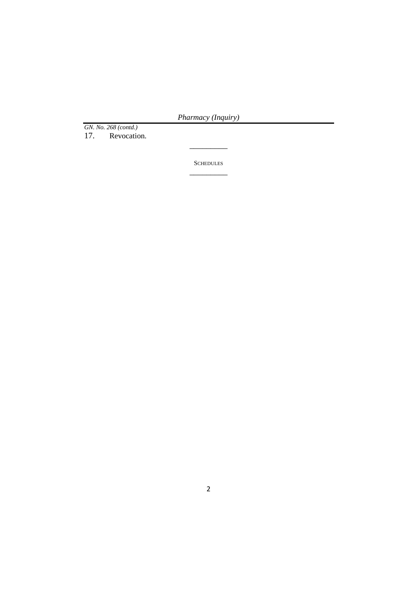*GN. No. 268 (contd.)*

Revocation.

**SCHEDULES**  $\overline{\phantom{a}}$  , where  $\overline{\phantom{a}}$ 

 $\overline{\phantom{a}}$  , where  $\overline{\phantom{a}}$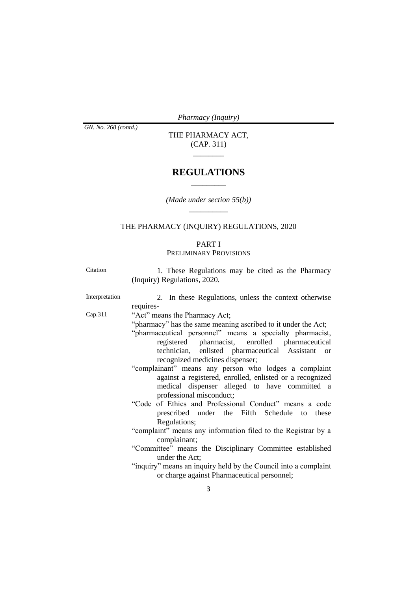*GN. No. 268 (contd.)*

THE PHARMACY ACT, (CAP. 311)

\_\_\_\_\_\_\_\_

# **REGULATIONS**  $\overline{\phantom{a}}$

*(Made under section 55(b))*  $\frac{1}{\sqrt{2}}$ 

# THE PHARMACY (INQUIRY) REGULATIONS, 2020

# PART I PRELIMINARY PROVISIONS

| Citation       | 1. These Regulations may be cited as the Pharmacy<br>(Inquiry) Regulations, 2020.                                                                                                                                                                                                                                                                                                                                                                                                                                                                                                                                                                                                                                                                                                                                                                                                                                          |
|----------------|----------------------------------------------------------------------------------------------------------------------------------------------------------------------------------------------------------------------------------------------------------------------------------------------------------------------------------------------------------------------------------------------------------------------------------------------------------------------------------------------------------------------------------------------------------------------------------------------------------------------------------------------------------------------------------------------------------------------------------------------------------------------------------------------------------------------------------------------------------------------------------------------------------------------------|
| Interpretation | 2. In these Regulations, unless the context otherwise<br>requires-                                                                                                                                                                                                                                                                                                                                                                                                                                                                                                                                                                                                                                                                                                                                                                                                                                                         |
| Cap.311        | "Act" means the Pharmacy Act;<br>"pharmacy" has the same meaning ascribed to it under the Act;<br>"pharmaceutical personnel" means a specialty pharmacist,<br>registered pharmacist, enrolled pharmaceutical<br>technician, enlisted pharmaceutical Assistant<br><b>or</b><br>recognized medicines dispenser;<br>"complainant" means any person who lodges a complaint<br>against a registered, enrolled, enlisted or a recognized<br>medical dispenser alleged to have committed a<br>professional misconduct;<br>"Code of Ethics and Professional Conduct" means a code<br>prescribed under the Fifth Schedule to these<br>Regulations;<br>"complaint" means any information filed to the Registrar by a<br>complainant;<br>"Committee" means the Disciplinary Committee established<br>under the Act;<br>"inquiry" means an inquiry held by the Council into a complaint<br>or charge against Pharmaceutical personnel; |
|                | 3                                                                                                                                                                                                                                                                                                                                                                                                                                                                                                                                                                                                                                                                                                                                                                                                                                                                                                                          |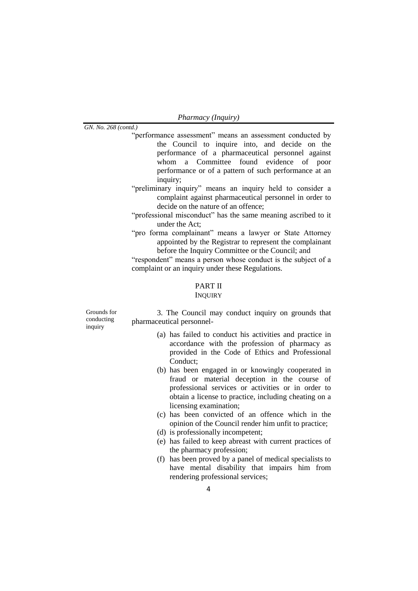*GN. No. 268 (contd.)*

- "performance assessment" means an assessment conducted by the Council to inquire into, and decide on the performance of a pharmaceutical personnel against whom a Committee found evidence of poor performance or of a pattern of such performance at an inquiry;
- "preliminary inquiry" means an inquiry held to consider a complaint against pharmaceutical personnel in order to decide on the nature of an offence;
- "professional misconduct" has the same meaning ascribed to it under the Act;
- "pro forma complainant" means a lawyer or State Attorney appointed by the Registrar to represent the complainant before the Inquiry Committee or the Council; and

"respondent" means a person whose conduct is the subject of a complaint or an inquiry under these Regulations.

# PART II

## **INQUIRY**

Grounds for conducting inquiry

3. The Council may conduct inquiry on grounds that pharmaceutical personnel-

- (a) has failed to conduct his activities and practice in accordance with the profession of pharmacy as provided in the Code of Ethics and Professional Conduct;
- (b) has been engaged in or knowingly cooperated in fraud or material deception in the course of professional services or activities or in order to obtain a license to practice, including cheating on a licensing examination;
- (c) has been convicted of an offence which in the opinion of the Council render him unfit to practice;
- (d) is professionally incompetent;
- (e) has failed to keep abreast with current practices of the pharmacy profession;
- (f) has been proved by a panel of medical specialists to have mental disability that impairs him from rendering professional services;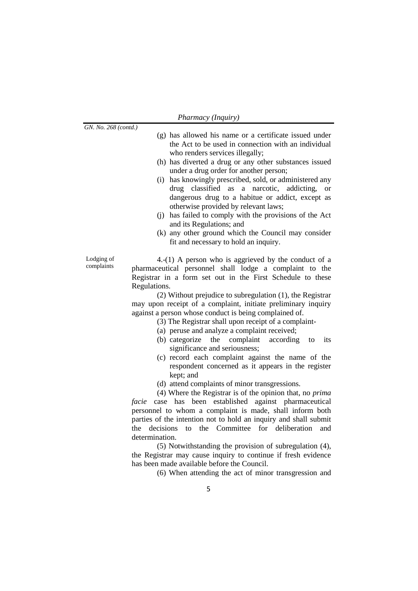| Pharmacy (Inquiry) |  |
|--------------------|--|
|--------------------|--|

*GN. No. 268 (co* 

Lodging of complaints

| mtd.)        |                                                            |
|--------------|------------------------------------------------------------|
|              | (g) has allowed his name or a certificate issued under     |
|              | the Act to be used in connection with an individual        |
|              | who renders services illegally;                            |
|              | (h) has diverted a drug or any other substances issued     |
|              | under a drug order for another person;                     |
|              | (i) has knowingly prescribed, sold, or administered any    |
|              | drug classified as a narcotic, addicting, or               |
|              | dangerous drug to a habitue or addict, except as           |
|              | otherwise provided by relevant laws;                       |
|              | (i) has failed to comply with the provisions of the Act    |
|              | and its Regulations; and                                   |
|              | (k) any other ground which the Council may consider        |
|              | fit and necessary to hold an inquiry.                      |
|              |                                                            |
|              | 4.-(1) A person who is aggrieved by the conduct of a       |
|              | pharmaceutical personnel shall lodge a complaint to the    |
|              | Registrar in a form set out in the First Schedule to these |
| Regulations. |                                                            |
|              |                                                            |

(2) Without prejudice to subregulation (1), the Registrar may upon receipt of a complaint, initiate preliminary inquiry against a person whose conduct is being complained of.

- (3) The Registrar shall upon receipt of a complaint-
- (a) peruse and analyze a complaint received;
- (b) categorize the complaint according to its significance and seriousness;
- (c) record each complaint against the name of the respondent concerned as it appears in the register kept; and
- (d) attend complaints of minor transgressions.

(4) Where the Registrar is of the opinion that, no *prima facie* case has been established against pharmaceutical personnel to whom a complaint is made, shall inform both parties of the intention not to hold an inquiry and shall submit the decisions to the Committee for deliberation and determination.

(5) Notwithstanding the provision of subregulation (4), the Registrar may cause inquiry to continue if fresh evidence has been made available before the Council.

(6) When attending the act of minor transgression and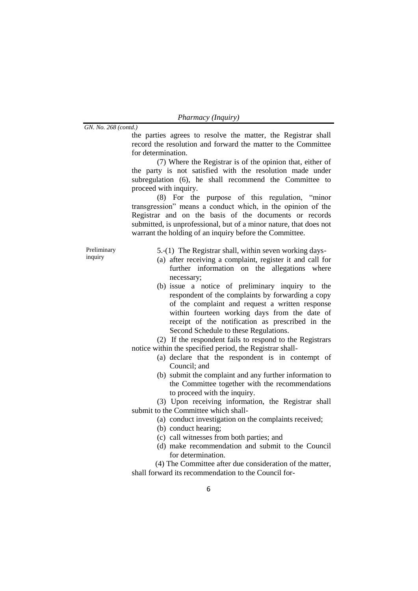| Pharmacy (Inquiry) |  |
|--------------------|--|
|                    |  |

the parties agrees to resolve the matter, the Registrar shall record the resolution and forward the matter to the Committee for determination.

(7) Where the Registrar is of the opinion that, either of the party is not satisfied with the resolution made under subregulation (6), he shall recommend the Committee to proceed with inquiry.

(8) For the purpose of this regulation, "minor transgression" means a conduct which, in the opinion of the Registrar and on the basis of the documents or records submitted, is unprofessional, but of a minor nature, that does not warrant the holding of an inquiry before the Committee.

Preliminary inquiry

5.-(1) The Registrar shall, within seven working days-

- (a) after receiving a complaint, register it and call for further information on the allegations where necessary;
- (b) issue a notice of preliminary inquiry to the respondent of the complaints by forwarding a copy of the complaint and request a written response within fourteen working days from the date of receipt of the notification as prescribed in the Second Schedule to these Regulations.

(2) If the respondent fails to respond to the Registrars notice within the specified period, the Registrar shall-

- (a) declare that the respondent is in contempt of Council; and
- (b) submit the complaint and any further information to the Committee together with the recommendations to proceed with the inquiry.

(3) Upon receiving information, the Registrar shall submit to the Committee which shall-

- (a) conduct investigation on the complaints received;
- (b) conduct hearing;
- (c) call witnesses from both parties; and
- (d) make recommendation and submit to the Council for determination.

(4) The Committee after due consideration of the matter, shall forward its recommendation to the Council for-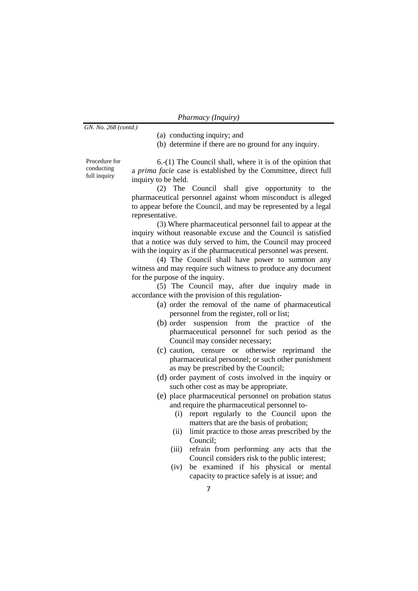| Pharmacy (Inquiry) |  |
|--------------------|--|
|--------------------|--|

(a) conducting inquiry; and

(b) determine if there are no ground for any inquiry.

Procedure for conducting full inquiry

6.-(1) The Council shall, where it is of the opinion that a *prima facie* case is established by the Committee, direct full inquiry to be held.

(2) The Council shall give opportunity to the pharmaceutical personnel against whom misconduct is alleged to appear before the Council, and may be represented by a legal representative.

(3) Where pharmaceutical personnel fail to appear at the inquiry without reasonable excuse and the Council is satisfied that a notice was duly served to him, the Council may proceed with the inquiry as if the pharmaceutical personnel was present.

(4) The Council shall have power to summon any witness and may require such witness to produce any document for the purpose of the inquiry.

(5) The Council may, after due inquiry made in accordance with the provision of this regulation-

- (a) order the removal of the name of pharmaceutical personnel from the register, roll or list;
- (b) order suspension from the practice of the pharmaceutical personnel for such period as the Council may consider necessary;
- (c) caution, censure or otherwise reprimand the pharmaceutical personnel; or such other punishment as may be prescribed by the Council;
- (d) order payment of costs involved in the inquiry or such other cost as may be appropriate.
- (e) place pharmaceutical personnel on probation status and require the pharmaceutical personnel to-
	- (i) report regularly to the Council upon the matters that are the basis of probation;
	- (ii) limit practice to those areas prescribed by the Council;
	- (iii) refrain from performing any acts that the Council considers risk to the public interest;
	- (iv) be examined if his physical or mental capacity to practice safely is at issue; and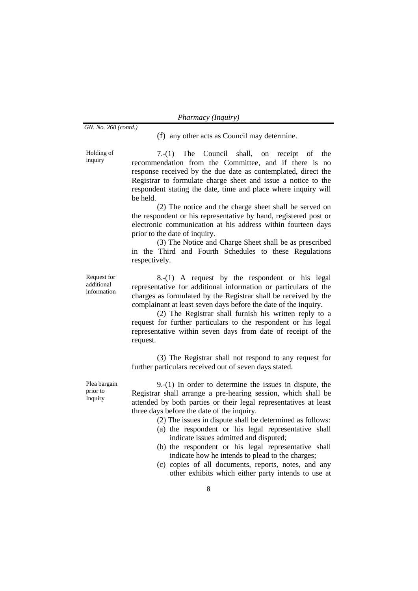| Pharmacy (Inquiry) |  |
|--------------------|--|
|--------------------|--|

(f) any other acts as Council may determine.

Holding of inquiry

7.-(1) The Council shall, on receipt of the recommendation from the Committee, and if there is no response received by the due date as contemplated, direct the Registrar to formulate charge sheet and issue a notice to the respondent stating the date, time and place where inquiry will be held.

(2) The notice and the charge sheet shall be served on the respondent or his representative by hand, registered post or electronic communication at his address within fourteen days prior to the date of inquiry.

(3) The Notice and Charge Sheet shall be as prescribed in the Third and Fourth Schedules to these Regulations respectively.

Request for additional information

8.-(1) A request by the respondent or his legal representative for additional information or particulars of the charges as formulated by the Registrar shall be received by the complainant at least seven days before the date of the inquiry.

(2) The Registrar shall furnish his written reply to a request for further particulars to the respondent or his legal representative within seven days from date of receipt of the request.

(3) The Registrar shall not respond to any request for further particulars received out of seven days stated.

Plea bargain prior to Inquiry

9.-(1) In order to determine the issues in dispute, the Registrar shall arrange a pre-hearing session, which shall be attended by both parties or their legal representatives at least three days before the date of the inquiry.

- (2) The issues in dispute shall be determined as follows:
- (a) the respondent or his legal representative shall indicate issues admitted and disputed;
- (b) the respondent or his legal representative shall indicate how he intends to plead to the charges;
- (c) copies of all documents, reports, notes, and any other exhibits which either party intends to use at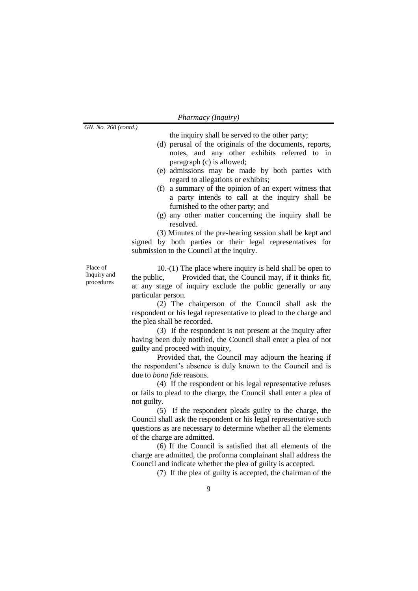the inquiry shall be served to the other party;

- (d) perusal of the originals of the documents, reports, notes, and any other exhibits referred to in paragraph (c) is allowed;
- (e) admissions may be made by both parties with regard to allegations or exhibits;
- (f) a summary of the opinion of an expert witness that a party intends to call at the inquiry shall be furnished to the other party; and
- (g) any other matter concerning the inquiry shall be resolved.

(3) Minutes of the pre-hearing session shall be kept and signed by both parties or their legal representatives for submission to the Council at the inquiry.

Place of Inquiry and procedures

10.-(1) The place where inquiry is held shall be open to the public, Provided that, the Council may, if it thinks fit, at any stage of inquiry exclude the public generally or any particular person.

(2) The chairperson of the Council shall ask the respondent or his legal representative to plead to the charge and the plea shall be recorded.

(3) If the respondent is not present at the inquiry after having been duly notified, the Council shall enter a plea of not guilty and proceed with inquiry,

Provided that, the Council may adjourn the hearing if the respondent's absence is duly known to the Council and is due to *bona fide* reasons.

(4) If the respondent or his legal representative refuses or fails to plead to the charge, the Council shall enter a plea of not guilty.

(5) If the respondent pleads guilty to the charge, the Council shall ask the respondent or his legal representative such questions as are necessary to determine whether all the elements of the charge are admitted.

(6) If the Council is satisfied that all elements of the charge are admitted, the proforma complainant shall address the Council and indicate whether the plea of guilty is accepted.

(7) If the plea of guilty is accepted, the chairman of the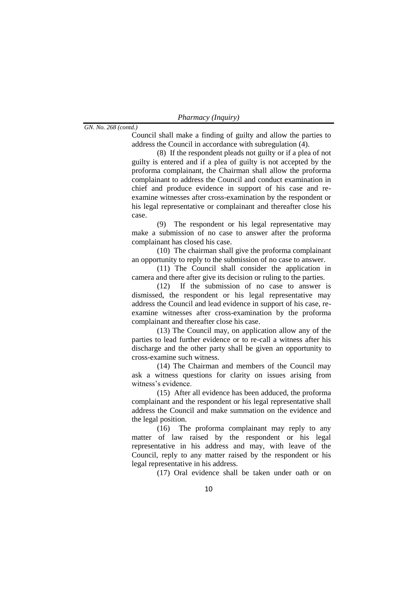*GN. No. 268 (contd.)*

Council shall make a finding of guilty and allow the parties to address the Council in accordance with subregulation (4).

(8) If the respondent pleads not guilty or if a plea of not guilty is entered and if a plea of guilty is not accepted by the proforma complainant, the Chairman shall allow the proforma complainant to address the Council and conduct examination in chief and produce evidence in support of his case and reexamine witnesses after cross-examination by the respondent or his legal representative or complainant and thereafter close his case.

(9) The respondent or his legal representative may make a submission of no case to answer after the proforma complainant has closed his case.

(10) The chairman shall give the proforma complainant an opportunity to reply to the submission of no case to answer.

(11) The Council shall consider the application in camera and there after give its decision or ruling to the parties.

(12) If the submission of no case to answer is dismissed, the respondent or his legal representative may address the Council and lead evidence in support of his case, reexamine witnesses after cross-examination by the proforma complainant and thereafter close his case.

(13) The Council may, on application allow any of the parties to lead further evidence or to re-call a witness after his discharge and the other party shall be given an opportunity to cross-examine such witness.

(14) The Chairman and members of the Council may ask a witness questions for clarity on issues arising from witness's evidence.

(15) After all evidence has been adduced, the proforma complainant and the respondent or his legal representative shall address the Council and make summation on the evidence and the legal position.

(16) The proforma complainant may reply to any matter of law raised by the respondent or his legal representative in his address and may, with leave of the Council, reply to any matter raised by the respondent or his legal representative in his address.

(17) Oral evidence shall be taken under oath or on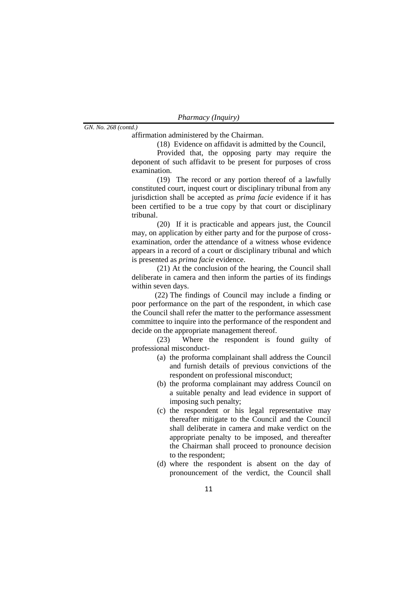*Pharmacy (Inquiry)*

affirmation administered by the Chairman.

(18) Evidence on affidavit is admitted by the Council,

Provided that, the opposing party may require the deponent of such affidavit to be present for purposes of cross examination.

(19) The record or any portion thereof of a lawfully constituted court, inquest court or disciplinary tribunal from any jurisdiction shall be accepted as *prima facie* evidence if it has been certified to be a true copy by that court or disciplinary tribunal.

(20) If it is practicable and appears just, the Council may, on application by either party and for the purpose of crossexamination, order the attendance of a witness whose evidence appears in a record of a court or disciplinary tribunal and which is presented as *prima facie* evidence.

(21) At the conclusion of the hearing, the Council shall deliberate in camera and then inform the parties of its findings within seven days.

(22) The findings of Council may include a finding or poor performance on the part of the respondent, in which case the Council shall refer the matter to the performance assessment committee to inquire into the performance of the respondent and decide on the appropriate management thereof.

(23) Where the respondent is found guilty of professional misconduct-

- (a) the proforma complainant shall address the Council and furnish details of previous convictions of the respondent on professional misconduct;
- (b) the proforma complainant may address Council on a suitable penalty and lead evidence in support of imposing such penalty;
- (c) the respondent or his legal representative may thereafter mitigate to the Council and the Council shall deliberate in camera and make verdict on the appropriate penalty to be imposed, and thereafter the Chairman shall proceed to pronounce decision to the respondent;
- (d) where the respondent is absent on the day of pronouncement of the verdict, the Council shall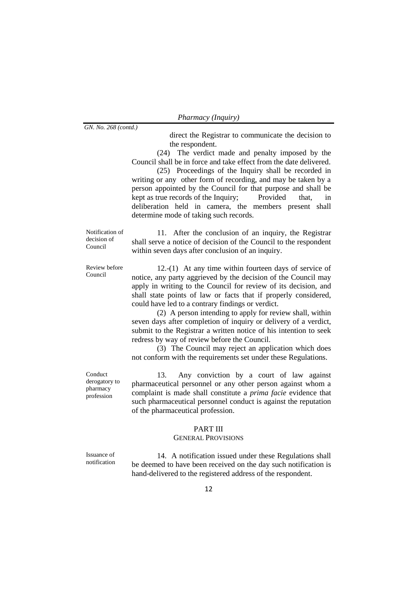*GN. No. 268 (contd.)*

direct the Registrar to communicate the decision to the respondent.

(24) The verdict made and penalty imposed by the Council shall be in force and take effect from the date delivered.

(25) Proceedings of the Inquiry shall be recorded in writing or any other form of recording, and may be taken by a person appointed by the Council for that purpose and shall be kept as true records of the Inquiry; Provided that, in deliberation held in camera, the members present shall determine mode of taking such records.

Notification of decision of Council

11. After the conclusion of an inquiry, the Registrar shall serve a notice of decision of the Council to the respondent within seven days after conclusion of an inquiry.

Review before Council

12.-(1) At any time within fourteen days of service of notice, any party aggrieved by the decision of the Council may apply in writing to the Council for review of its decision, and shall state points of law or facts that if properly considered, could have led to a contrary findings or verdict.

(2) A person intending to apply for review shall, within seven days after completion of inquiry or delivery of a verdict, submit to the Registrar a written notice of his intention to seek redress by way of review before the Council.

(3) The Council may reject an application which does not conform with the requirements set under these Regulations.

Conduct derogatory to pharmacy profession

13. Any conviction by a court of law against pharmaceutical personnel or any other person against whom a complaint is made shall constitute a *prima facie* evidence that such pharmaceutical personnel conduct is against the reputation of the pharmaceutical profession.

## PART III

## GENERAL PROVISIONS

Issuance of notification

14. A notification issued under these Regulations shall be deemed to have been received on the day such notification is hand-delivered to the registered address of the respondent.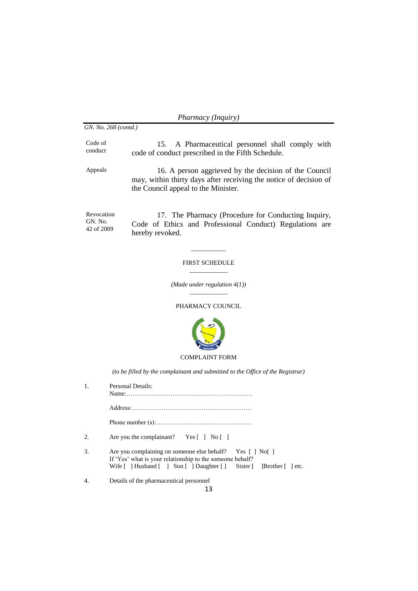*GN. No. 268 (contd.)*

Code of conduct

15. A Pharmaceutical personnel shall comply with code of conduct prescribed in the Fifth Schedule.

Appeals 16. A person aggrieved by the decision of the Council may, within thirty days after receiving the notice of decision of the Council appeal to the Minister.

Revocation GN. No. 42 of 2009

17. The Pharmacy (Procedure for Conducting Inquiry, Code of Ethics and Professional Conduct) Regulations are hereby revoked.

#### FIRST SCHEDULE  $\overline{\phantom{a}}$

 $\overline{\phantom{a}}$ 

*(Made under regulation 4(1))* \_\_\_\_\_\_\_\_\_\_\_\_

## PHARMACY COUNCIL



## COMPLAINT FORM

*(to be filled by the complainant and submitted to the Office of the Registrar)*

| 1. | Personal Details:                                                                                                                                                                              |
|----|------------------------------------------------------------------------------------------------------------------------------------------------------------------------------------------------|
|    |                                                                                                                                                                                                |
|    |                                                                                                                                                                                                |
|    |                                                                                                                                                                                                |
| 2. | Are you the complainant? Yes $\lceil \cdot \rceil$ No $\lceil \cdot \rceil$                                                                                                                    |
| 3. | Are you complaining on someone else behalf? Yes [] No []<br>If 'Yes' what is your relationship to the someone behalf?<br>Wife [ ] Husband [ ] Son [ ] Daughter [ ] Sister [ ] Brother [ ] etc. |
|    | Details of the pharmaceutical personnel                                                                                                                                                        |
|    | 13                                                                                                                                                                                             |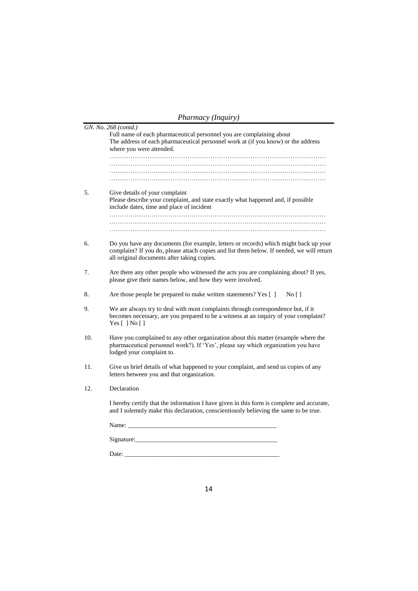| Pharmacy (Inquiry) |  |
|--------------------|--|
|--------------------|--|

|     | GN. No. 268 (contd.)                                                                                                                                                                                                             |
|-----|----------------------------------------------------------------------------------------------------------------------------------------------------------------------------------------------------------------------------------|
|     | Full name of each pharmaceutical personnel you are complaining about<br>The address of each pharmaceutical personnel work at (if you know) or the address<br>where you were attended.                                            |
|     |                                                                                                                                                                                                                                  |
|     |                                                                                                                                                                                                                                  |
|     |                                                                                                                                                                                                                                  |
|     |                                                                                                                                                                                                                                  |
| 5.  | Give details of your complaint<br>Please describe your complaint, and state exactly what happened and, if possible<br>include dates, time and place of incident                                                                  |
|     |                                                                                                                                                                                                                                  |
|     |                                                                                                                                                                                                                                  |
|     |                                                                                                                                                                                                                                  |
| 6.  | Do you have any documents (for example, letters or records) which might back up your<br>complaint? If you do, please attach copies and list them below. If needed, we will return<br>all original documents after taking copies. |
| 7.  | Are there any other people who witnessed the acts you are complaining about? If yes,<br>please give their names below, and how they were involved.                                                                               |
| 8.  | Are those people be prepared to make written statements? Yes []<br>No[]                                                                                                                                                          |
| 9.  | We are always try to deal with most complaints through correspondence but, if it<br>becomes necessary, are you prepared to be a witness at an inquiry of your complaint?<br>Yes $[ ]$ No $[ ]$                                   |
| 10. | Have you complained to any other organization about this matter (example where the<br>pharmaceutical personnel work?). If 'Yes', please say which organization you have<br>lodged your complaint to.                             |
| 11. | Give us brief details of what happened to your complaint, and send us copies of any<br>letters between you and that organization.                                                                                                |
| 12. | Declaration                                                                                                                                                                                                                      |
|     | I hereby certify that the information I have given in this form is complete and accurate,<br>and I solemnly make this declaration, conscientiously believing the same to be true.                                                |
|     | Name:                                                                                                                                                                                                                            |
|     | Signature:                                                                                                                                                                                                                       |
|     | Date:                                                                                                                                                                                                                            |
|     |                                                                                                                                                                                                                                  |

14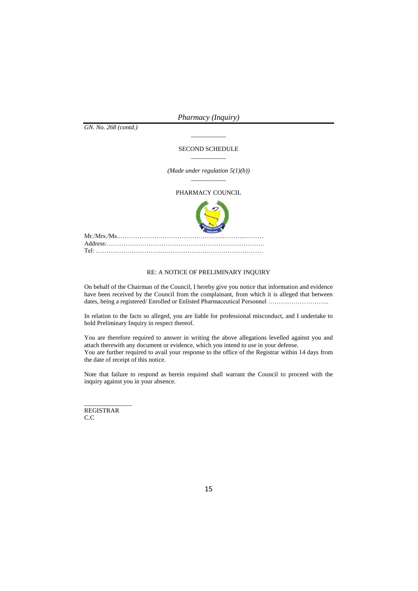*GN. No. 268 (contd.)*

#### SECOND SCHEDULE  $\overline{\phantom{a}}$

 $\overline{\phantom{a}}$ 

*(Made under regulation 5(1)(b))*  $\overline{\phantom{a}}$ 

#### PHARMACY COUNCIL



## RE: A NOTICE OF PRELIMINARY INQUIRY

On behalf of the Chairman of the Council, I hereby give you notice that information and evidence have been received by the Council from the complainant, from which it is alleged that between dates, being a registered/ Enrolled or Enlisted Pharmaceutical Personnel ………………………..

In relation to the facts so alleged, you are liable for professional misconduct, and I undertake to hold Preliminary Inquiry in respect thereof.

You are therefore required to answer in writing the above allegations levelled against you and attach therewith any document or evidence, which you intend to use in your defense. You are further required to avail your response to the office of the Registrar within 14 days from the date of receipt of this notice.

Note that failure to respond as herein required shall warrant the Council to proceed with the inquiry against you in your absence.

REGISTRAR C.C

\_\_\_\_\_\_\_\_\_\_\_\_\_\_\_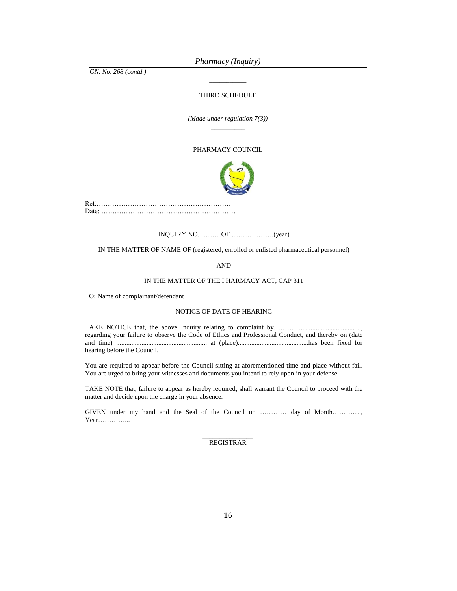*GN. No. 268 (contd.)*

#### THIRD SCHEDULE \_\_\_\_\_\_\_\_\_\_\_

\_\_\_\_\_\_\_\_\_\_\_

*(Made under regulation 7(3))* \_\_\_\_\_\_\_\_\_\_

#### PHARMACY COUNCIL



Ref:…………………………………………………… Date: ……………………………………………………

INQUIRY NO. ………OF ……………….(year)

IN THE MATTER OF NAME OF (registered, enrolled or enlisted pharmaceutical personnel)

AND

#### IN THE MATTER OF THE PHARMACY ACT, CAP 311

TO: Name of complainant/defendant

#### NOTICE OF DATE OF HEARING

TAKE NOTICE that, the above Inquiry relating to complaint by…………………………………………… regarding your failure to observe the Code of Ethics and Professional Conduct, and thereby on (date and time) ...................................................... at (place)..........................................has been fixed for hearing before the Council.

You are required to appear before the Council sitting at aforementioned time and place without fail. You are urged to bring your witnesses and documents you intend to rely upon in your defense.

TAKE NOTE that, failure to appear as hereby required, shall warrant the Council to proceed with the matter and decide upon the charge in your absence.

GIVEN under my hand and the Seal of the Council on ………… day of Month…………., Year…………...

> \_\_\_\_\_\_\_\_\_\_\_\_\_\_\_ REGISTRAR

\_\_\_\_\_\_\_\_\_\_\_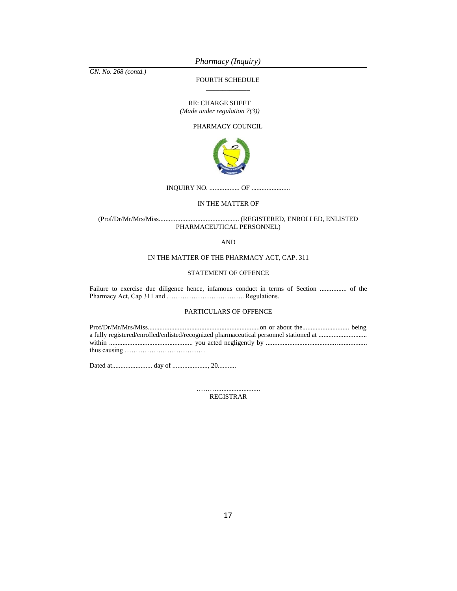*GN. No. 268 (contd.)*

FOURTH SCHEDULE \_\_\_\_\_\_\_\_\_\_\_\_\_

RE: CHARGE SHEET *(Made under regulation 7(3))*

PHARMACY COUNCIL



INQUIRY NO. .................. OF .......................

#### IN THE MATTER OF

(Prof/Dr/Mr/Mrs/Miss................................................ (REGISTERED, ENROLLED, ENLISTED PHARMACEUTICAL PERSONNEL)

AND

### IN THE MATTER OF THE PHARMACY ACT, CAP. 311

#### STATEMENT OF OFFENCE

Failure to exercise due diligence hence, infamous conduct in terms of Section ................ of the Pharmacy Act, Cap 311 and …………………………….. Regulations.

#### PARTICULARS OF OFFENCE

| a fully registered/enrolled/enlisted/recognized pharmaceutical personnel stationed at |  |
|---------------------------------------------------------------------------------------|--|
|                                                                                       |  |
|                                                                                       |  |

Dated at........................ day of ....................., 20...........

……………………………… REGISTRAR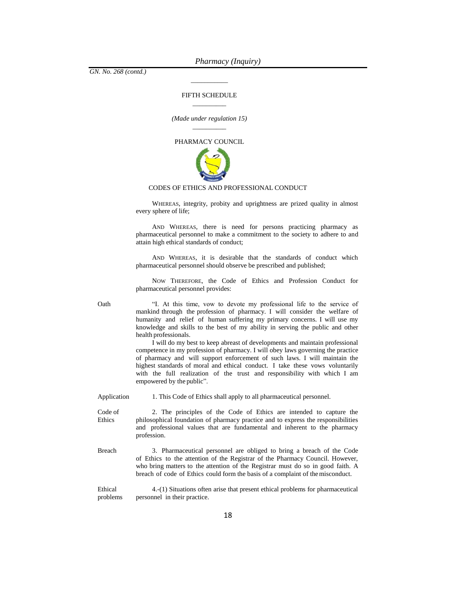*GN. No. 268 (contd.)*

#### FIFTH SCHEDULE  $\overline{\phantom{a}}$  . The set of the set of the set of the set of the set of the set of the set of the set of the set of the set of the set of the set of the set of the set of the set of the set of the set of the set of the set o

\_\_\_\_\_\_\_\_\_\_\_

*(Made under regulation 15)*  $\overline{\phantom{a}}$  . The set of the set of the set of the set of the set of the set of the set of the set of the set of the set of the set of the set of the set of the set of the set of the set of the set of the set of the set o

PHARMACY COUNCIL



#### CODES OF ETHICS AND PROFESSIONAL CONDUCT

WHEREAS, integrity, probity and uprightness are prized quality in almost every sphere of life;

AND WHEREAS, there is need for persons practicing pharmacy as pharmaceutical personnel to make a commitment to the society to adhere to and attain high ethical standards of conduct;

AND WHEREAS, it is desirable that the standards of conduct which pharmaceutical personnel should observe be prescribed and published;

NOW THEREFORE, the Code of Ethics and Profession Conduct for pharmaceutical personnel provides:

Oath "I. At this time, vow to devote my professional life to the service of mankind through the profession of pharmacy. I will consider the welfare of humanity and relief of human suffering my primary concerns. I will use my knowledge and skills to the best of my ability in serving the public and other health professionals.

> I will do my best to keep abreast of developments and maintain professional competence in my profession of pharmacy. I will obey laws governing the practice of pharmacy and will support enforcement of such laws. I will maintain the highest standards of moral and ethical conduct. I take these vows voluntarily with the full realization of the trust and responsibility with which I am empowered by the public".

Application 1. This Code of Ethics shall apply to all pharmaceutical personnel.

- Code of Ethics 2. The principles of the Code of Ethics are intended to capture the philosophical foundation of pharmacy practice and to express the responsibilities and professional values that are fundamental and inherent to the pharmacy profession.
- Breach 3. Pharmaceutical personnel are obliged to bring a breach of the Code of Ethics to the attention of the Registrar of the Pharmacy Council. However, who bring matters to the attention of the Registrar must do so in good faith. A breach of code of Ethics could form the basis of a complaint of themisconduct.

Ethical problems 4.-(1) Situations often arise that present ethical problems for pharmaceutical personnel in their practice.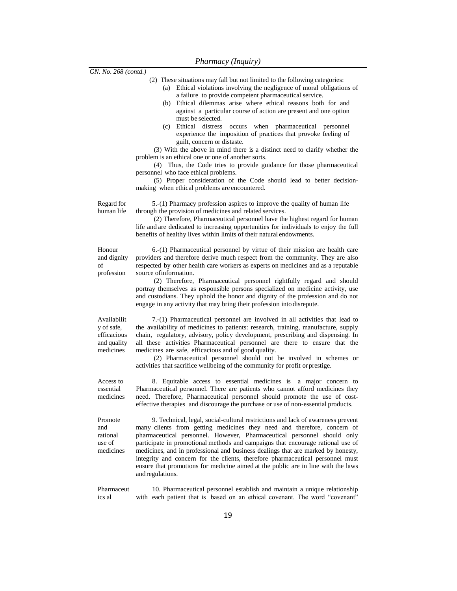| GN. No. 268 (contd.)                                                 |                                                                                                                                                                                                                                                                                                                                                                                                                                                                                                                                                                                                                                                                                                                                                                                                                                                                                                                                |
|----------------------------------------------------------------------|--------------------------------------------------------------------------------------------------------------------------------------------------------------------------------------------------------------------------------------------------------------------------------------------------------------------------------------------------------------------------------------------------------------------------------------------------------------------------------------------------------------------------------------------------------------------------------------------------------------------------------------------------------------------------------------------------------------------------------------------------------------------------------------------------------------------------------------------------------------------------------------------------------------------------------|
|                                                                      | (2) These situations may fall but not limited to the following categories:<br>(a) Ethical violations involving the negligence of moral obligations of<br>a failure to provide competent pharmaceutical service.<br>(b) Ethical dilemmas arise where ethical reasons both for and<br>against a particular course of action are present and one option<br>must be selected.<br>Ethical distress occurs<br>pharmaceutical personnel<br>(c)<br>when<br>experience the imposition of practices that provoke feeling of<br>guilt, concern or distaste.<br>(3) With the above in mind there is a distinct need to clarify whether the<br>problem is an ethical one or one of another sorts.<br>(4) Thus, the Code tries to provide guidance for those pharmaceutical<br>personnel who face ethical problems.<br>(5) Proper consideration of the Code should lead to better decision-<br>making when ethical problems are encountered. |
| Regard for<br>human life                                             | 5.-(1) Pharmacy profession aspires to improve the quality of human life<br>through the provision of medicines and related services.<br>(2) Therefore, Pharmaceutical personnel have the highest regard for human<br>life and are dedicated to increasing opportunities for individuals to enjoy the full<br>benefits of healthy lives within limits of their natural endowments.                                                                                                                                                                                                                                                                                                                                                                                                                                                                                                                                               |
| Honour<br>and dignity<br>of<br>profession                            | 6.-(1) Pharmaceutical personnel by virtue of their mission are health care<br>providers and therefore derive much respect from the community. They are also<br>respected by other health care workers as experts on medicines and as a reputable<br>source of information.<br>(2) Therefore, Pharmaceutical personnel rightfully regard and should<br>portray themselves as responsible persons specialized on medicine activity, use<br>and custodians. They uphold the honor and dignity of the profession and do not<br>engage in any activity that may bring their profession into disrepute.                                                                                                                                                                                                                                                                                                                              |
| Availabilit<br>y of safe,<br>efficacious<br>and quality<br>medicines | 7.-(1) Pharmaceutical personnel are involved in all activities that lead to<br>the availability of medicines to patients: research, training, manufacture, supply<br>chain, regulatory, advisory, policy development, prescribing and dispensing. In<br>all these activities Pharmaceutical personnel are there to ensure that the<br>medicines are safe, efficacious and of good quality.<br>(2) Pharmaceutical personnel should not be involved in schemes or<br>activities that sacrifice wellbeing of the community for profit or prestige.                                                                                                                                                                                                                                                                                                                                                                                |
| Access to<br>essential<br>medicines                                  | 8. Equitable access to essential medicines is a major concern to<br>Pharmaceutical personnel. There are patients who cannot afford medicines they<br>need. Therefore, Pharmaceutical personnel should promote the use of cost-<br>effective therapies and discourage the purchase or use of non-essential products.                                                                                                                                                                                                                                                                                                                                                                                                                                                                                                                                                                                                            |
| Promote<br>and<br>rational<br>use of<br>medicines                    | 9. Technical, legal, social-cultural restrictions and lack of awareness prevent<br>many clients from getting medicines they need and therefore, concern of<br>pharmaceutical personnel. However, Pharmaceutical personnel should only<br>participate in promotional methods and campaigns that encourage rational use of<br>medicines, and in professional and business dealings that are marked by honesty,<br>integrity and concern for the clients, therefore pharmaceutical personnel must<br>ensure that promotions for medicine aimed at the public are in line with the laws<br>and regulations.                                                                                                                                                                                                                                                                                                                        |
| Pharmaceut<br>ics al                                                 | 10. Pharmaceutical personnel establish and maintain a unique relationship<br>with each patient that is based on an ethical covenant. The word "covenant"                                                                                                                                                                                                                                                                                                                                                                                                                                                                                                                                                                                                                                                                                                                                                                       |
|                                                                      |                                                                                                                                                                                                                                                                                                                                                                                                                                                                                                                                                                                                                                                                                                                                                                                                                                                                                                                                |